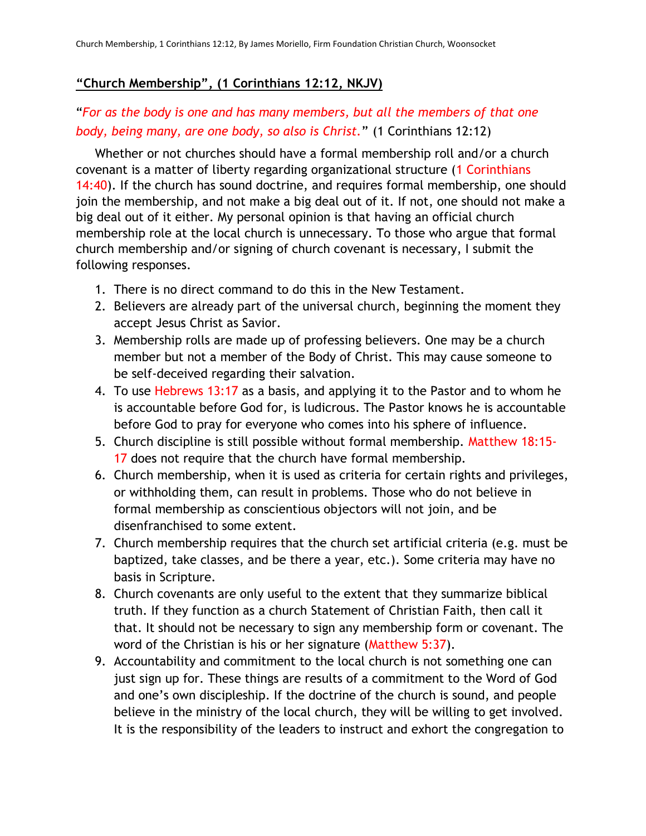## **"Church Membership", (1 Corinthians 12:12, NKJV)**

## "*For as the body is one and has many members, but all the members of that one body, being many, are one body, so also is Christ.*" (1 Corinthians 12:12)

Whether or not churches should have a formal membership roll and/or a church covenant is a matter of liberty regarding organizational structure (1 Corinthians 14:40). If the church has sound doctrine, and requires formal membership, one should join the membership, and not make a big deal out of it. If not, one should not make a big deal out of it either. My personal opinion is that having an official church membership role at the local church is unnecessary. To those who argue that formal church membership and/or signing of church covenant is necessary, I submit the following responses.

- 1. There is no direct command to do this in the New Testament.
- 2. Believers are already part of the universal church, beginning the moment they accept Jesus Christ as Savior.
- 3. Membership rolls are made up of professing believers. One may be a church member but not a member of the Body of Christ. This may cause someone to be self-deceived regarding their salvation.
- 4. To use Hebrews 13:17 as a basis, and applying it to the Pastor and to whom he is accountable before God for, is ludicrous. The Pastor knows he is accountable before God to pray for everyone who comes into his sphere of influence.
- 5. Church discipline is still possible without formal membership. Matthew 18:15- 17 does not require that the church have formal membership.
- 6. Church membership, when it is used as criteria for certain rights and privileges, or withholding them, can result in problems. Those who do not believe in formal membership as conscientious objectors will not join, and be disenfranchised to some extent.
- 7. Church membership requires that the church set artificial criteria (e.g. must be baptized, take classes, and be there a year, etc.). Some criteria may have no basis in Scripture.
- 8. Church covenants are only useful to the extent that they summarize biblical truth. If they function as a church Statement of Christian Faith, then call it that. It should not be necessary to sign any membership form or covenant. The word of the Christian is his or her signature (Matthew 5:37).
- 9. Accountability and commitment to the local church is not something one can just sign up for. These things are results of a commitment to the Word of God and one's own discipleship. If the doctrine of the church is sound, and people believe in the ministry of the local church, they will be willing to get involved. It is the responsibility of the leaders to instruct and exhort the congregation to